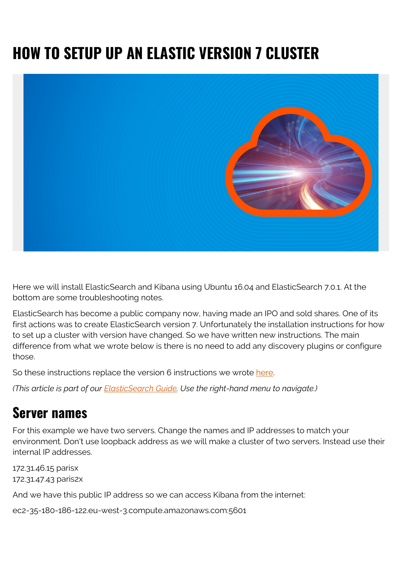# **HOW TO SETUP UP AN ELASTIC VERSION 7 CLUSTER**



Here we will install ElasticSearch and Kibana using Ubuntu 16.04 and ElasticSearch 7.0.1. At the bottom are some troubleshooting notes.

ElasticSearch has become a public company now, having made an IPO and sold shares. One of its first actions was to create ElasticSearch version 7. Unfortunately the installation instructions for how to set up a cluster with version have changed. So we have written new instructions. The main difference from what we wrote below is there is no need to add any discovery plugins or configure those.

So these instructions replace the version 6 instructions we wrote [here.](https://blogs.bmc.com/blogs/how-to-setup-elasticsearch-cluster-amazon-ec2/)

*(This article is part of our [ElasticSearch Guide.](https://blogs.bmc.com/blogs/elasticsearch-introduction/) Use the right-hand menu to navigate.)*

#### **Server names**

For this example we have two servers. Change the names and IP addresses to match your environment. Don't use loopback address as we will make a cluster of two servers. Instead use their internal IP addresses.

172.31.46.15 parisx 172.31.47.43 paris2x

And we have this public IP address so we can access Kibana from the internet:

ec2-35-180-186-122.eu-west-3.compute.amazonaws.com:5601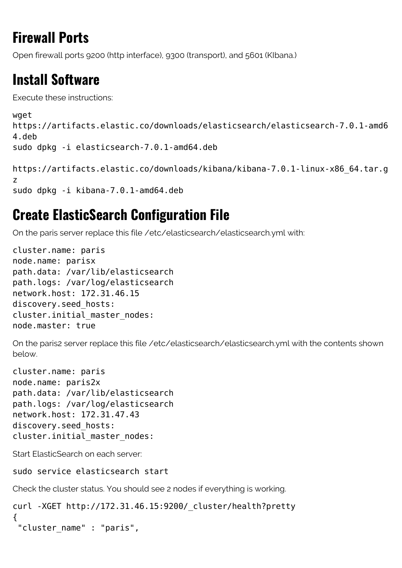# **Firewall Ports**

Open firewall ports 9200 (http interface), 9300 (transport), and 5601 (KIbana.)

# **Install Software**

Execute these instructions:

```
wget
https://artifacts.elastic.co/downloads/elasticsearch/elasticsearch-7.0.1-amd6
4.deb
sudo dpkg -i elasticsearch-7.0.1-amd64.deb
```

```
https://artifacts.elastic.co/downloads/kibana/kibana-7.0.1-linux-x86_64.tar.g
z
sudo dpkg -i kibana-7.0.1-amd64.deb
```
### **Create ElasticSearch Configuration File**

On the paris server replace this file /etc/elasticsearch/elasticsearch.yml with:

```
cluster.name: paris
node.name: parisx
path.data: /var/lib/elasticsearch
path.logs: /var/log/elasticsearch
network.host: 172.31.46.15
discovery.seed_hosts:
cluster.initial master nodes:
node.master: true
```
On the paris2 server replace this file /etc/elasticsearch/elasticsearch.yml with the contents shown below.

```
cluster.name: paris
node.name: paris2x
path.data: /var/lib/elasticsearch
path.logs: /var/log/elasticsearch
network.host: 172.31.47.43
discovery.seed_hosts:
cluster.initial master nodes:
```
Start ElasticSearch on each server:

sudo service elasticsearch start

Check the cluster status. You should see 2 nodes if everything is working.

```
curl -XGET http://172.31.46.15:9200/_cluster/health?pretty
{
  "cluster_name" : "paris",
```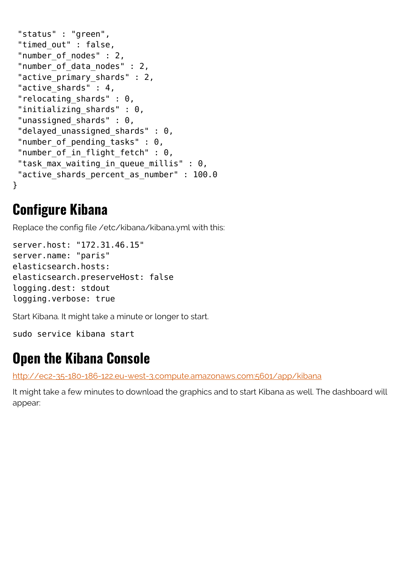```
 "status" : "green",
"timed out" : false,
"number of nodes" : 2,
 "number_of_data_nodes" : 2,
 "active_primary_shards" : 2,
"active shards" : 4,
 "relocating_shards" : 0,
"initializing shards" : 0,
"unassigned_shards" : 0,
"delayed unassigned shards" : 0,
"number of pending tasks" : 0,
"number of in flight fetch" : 0,
"task max waiting in queue millis" : 0,
"active shards percent as number" : 100.0
}
```
#### **Configure Kibana**

Replace the config file /etc/kibana/kibana.yml with this:

```
server.host: "172.31.46.15"
server.name: "paris"
elasticsearch.hosts:
elasticsearch.preserveHost: false
logging.dest: stdout
logging.verbose: true
```
Start Kibana. It might take a minute or longer to start.

sudo service kibana start

#### **Open the Kibana Console**

<http://ec2-35-180-186-122.eu-west-3.compute.amazonaws.com:5601/app/kibana>

It might take a few minutes to download the graphics and to start Kibana as well. The dashboard will appear: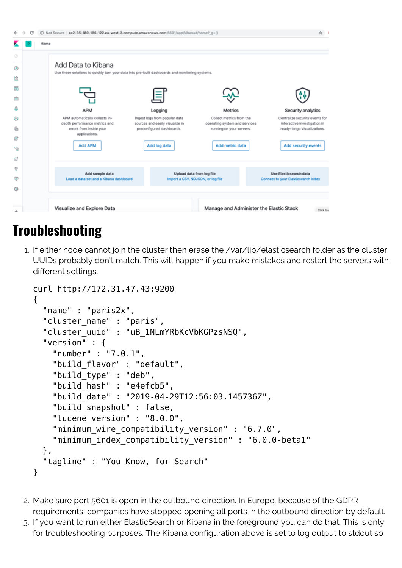|         | (ii) Not Secure   ec2-35-180-186-122.eu-west-3.compute.amazonaws.com:5601/app/kibana#/home?_g=()<br>С                 |                                                                  |                                                           | ŵ                                                              |
|---------|-----------------------------------------------------------------------------------------------------------------------|------------------------------------------------------------------|-----------------------------------------------------------|----------------------------------------------------------------|
|         | Home                                                                                                                  |                                                                  |                                                           |                                                                |
| $\circ$ |                                                                                                                       |                                                                  |                                                           |                                                                |
| ◉       | Add Data to Kibana<br>Use these solutions to quickly turn your data into pre-built dashboards and monitoring systems. |                                                                  |                                                           |                                                                |
| 屹       |                                                                                                                       |                                                                  |                                                           |                                                                |
| s       |                                                                                                                       |                                                                  |                                                           |                                                                |
| 侖       |                                                                                                                       |                                                                  |                                                           | ۹ė,                                                            |
| s       | APM                                                                                                                   | Logging                                                          | <b>Metrics</b>                                            | Security analytics                                             |
| ø       | APM automatically collects in-<br>depth performance metrics and                                                       | Ingest logs from popular data<br>sources and easily visualize in | Collect metrics from the<br>operating system and services | Centralize security events for<br>interactive investigation in |
| €       | errors from inside your<br>applications.                                                                              | preconfigured dashboards.                                        | running on your servers.                                  | ready-to-go visualizations.                                    |
| IJ      |                                                                                                                       |                                                                  |                                                           |                                                                |
| ę       | Add APM                                                                                                               | Add log data                                                     | Add metric data                                           | Add security events                                            |
| I       |                                                                                                                       |                                                                  |                                                           |                                                                |
| Ÿ       | Add sample data                                                                                                       |                                                                  | Upload data from log file                                 | Use Elasticsearch data                                         |
| ۵       | Load a data set and a Kibana dashboard                                                                                |                                                                  | Import a CSV, NDJSON, or log file                         | Connect to your Elasticsearch index                            |
| ۵       |                                                                                                                       |                                                                  |                                                           |                                                                |
|         |                                                                                                                       |                                                                  |                                                           |                                                                |
|         | Visualize and Explore Data                                                                                            |                                                                  | Manage and Administer the Elastic Stack                   | Click to                                                       |

### **Troubleshooting**

1. If either node cannot join the cluster then erase the /var/lib/elasticsearch folder as the cluster UUIDs probably don't match. This will happen if you make mistakes and restart the servers with different settings.

```
curl http://172.31.47.43:9200
{
   "name" : "paris2x",
  "cluster name" : "paris",
   "cluster_uuid" : "uB_1NLmYRbKcVbKGPzsNSQ",
   "version" : {
     "number" : "7.0.1",
     "build_flavor" : "default",
     "build_type" : "deb",
     "build_hash" : "e4efcb5",
     "build_date" : "2019-04-29T12:56:03.145736Z",
    "build snapshot" : false,
    "lucene version" : "8.0.0",
    "minimum wire compatibility version" : "6.7.0",
    "minimum index compatibility version" : "6.0.0-beta1"
   },
   "tagline" : "You Know, for Search"
}
```
- 2. Make sure port 5601 is open in the outbound direction. In Europe, because of the GDPR requirements, companies have stopped opening all ports in the outbound direction by default.
- 3. If you want to run either ElasticSearch or Kibana in the foreground you can do that. This is only for troubleshooting purposes. The Kibana configuration above is set to log output to stdout so